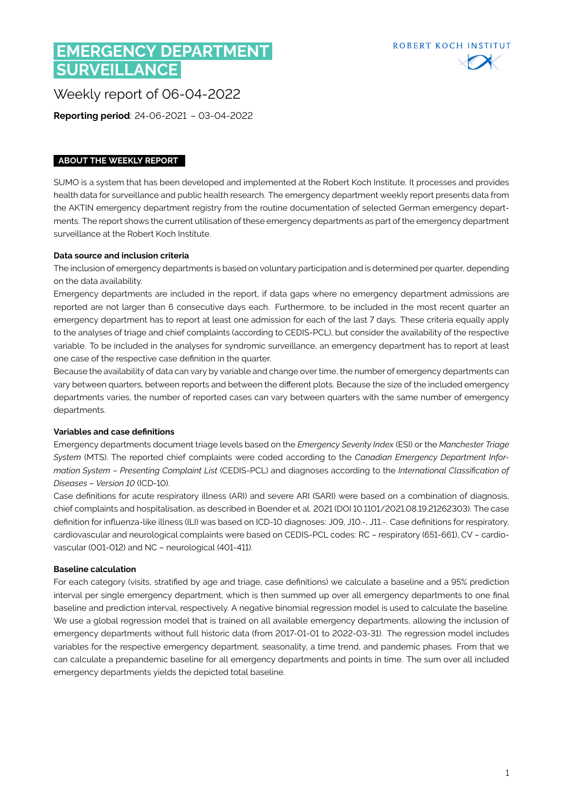# **EMERGENCY DEPARTMENT SURVEILLANCE**



Weekly report of 06-04-2022

**Reporting period**: 24-06-2021 – 03-04-2022

### **ABOUT THE WEEKLY REPORT**

SUMO is a system that has been developed and implemented at the Robert Koch Institute. It processes and provides health data for surveillance and public health research. The emergency department weekly report presents data from the AKTIN emergency department registry from the routine documentation of selected German emergency departments. The report shows the current utilisation of these emergency departments as part of the emergency department surveillance at the Robert Koch Institute.

#### **Data source and inclusion criteria**

The inclusion of emergency departments is based on voluntary participation and is determined per quarter, depending on the data availability.

Emergency departments are included in the report, if data gaps where no emergency department admissions are reported are not larger than 6 consecutive days each. Furthermore, to be included in the most recent quarter an emergency department has to report at least one admission for each of the last 7 days. These criteria equally apply to the analyses of triage and chief complaints (according to CEDIS-PCL), but consider the availability of the respective variable. To be included in the analyses for syndromic surveillance, an emergency department has to report at least one case of the respective case definition in the quarter.

Because the availability of data can vary by variable and change over time, the number of emergency departments can vary between quarters, between reports and between the different plots. Because the size of the included emergency departments varies, the number of reported cases can vary between quarters with the same number of emergency departments.

#### **Variables and case definitions**

Emergency departments document triage levels based on the *Emergency Severity Index* (ESI) or the *Manchester Triage System* (MTS). The reported chief complaints were coded according to the *Canadian Emergency Department Information System – Presenting Complaint List* (CEDIS-PCL) and diagnoses according to the *International Classification of Diseases – Version 10* (ICD-10).

Case definitions for acute respiratory illness (ARI) and severe ARI (SARI) were based on a combination of diagnosis, chief complaints and hospitalisation, as described in Boender et al. 2021 (DOI [10.1101/2021.08.19.21262303\)](https://www.medrxiv.org/content/10.1101/2021.08.19.21262303v1). The case definition for influenza-like illness (ILI) was based on ICD-10 diagnoses: J09, J10.-, J11.-. Case definitions for respiratory, cardiovascular and neurological complaints were based on CEDIS-PCL codes: RC – respiratory (651-661), CV – cardiovascular (001-012) and NC – neurological (401-411).

#### **Baseline calculation**

For each category (visits, stratified by age and triage, case definitions) we calculate a baseline and a 95% prediction interval per single emergency department, which is then summed up over all emergency departments to one final baseline and prediction interval, respectively. A negative binomial regression model is used to calculate the baseline. We use a global regression model that is trained on all available emergency departments, allowing the inclusion of emergency departments without full historic data (from 2017-01-01 to 2022-03-31). The regression model includes variables for the respective emergency department, seasonality, a time trend, and pandemic phases. From that we can calculate a prepandemic baseline for all emergency departments and points in time. The sum over all included emergency departments yields the depicted total baseline.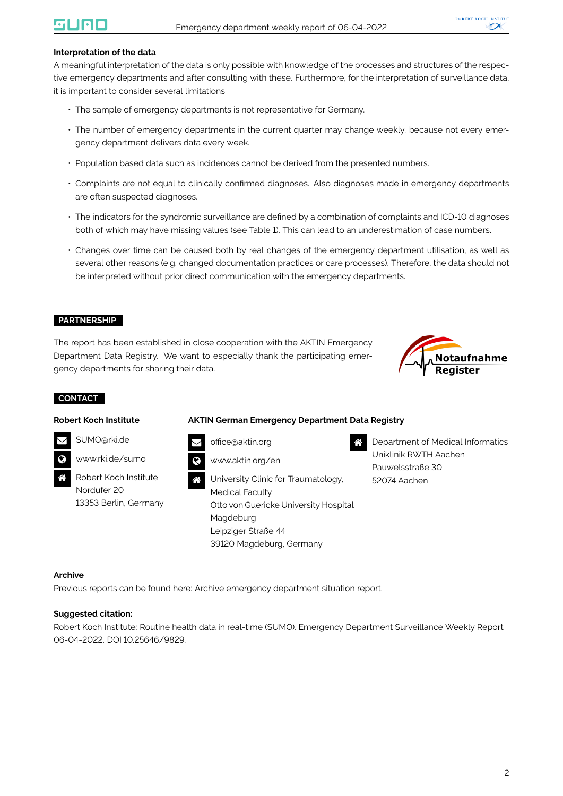#### **Interpretation of the data**

A meaningful interpretation of the data is only possible with knowledge of the processes and structures of the respective emergency departments and after consulting with these. Furthermore, for the interpretation of surveillance data, it is important to consider several limitations:

- The sample of emergency departments is not representative for Germany.
- The number of emergency departments in the current quarter may change weekly, because not every emergency department delivers data every week.
- Population based data such as incidences cannot be derived from the presented numbers.
- Complaints are not equal to clinically confirmed diagnoses. Also diagnoses made in emergency departments are often suspected diagnoses.
- The indicators for the syndromic surveillance are defined by a combination of complaints and ICD-10 diagnoses both of which may have missing values (see Table [1\)](#page-2-0). This can lead to an underestimation of case numbers.
- Changes over time can be caused both by real changes of the emergency department utilisation, as well as several other reasons (e.g. changed documentation practices or care processes). Therefore, the data should not be interpreted without prior direct communication with the emergency departments.

#### **PARTNERSHIP**

The report has been established in close cooperation with the AKTIN Emergency Department Data Registry. We want to especially thank the participating emergency departments for sharing their data.



#### **CONTACT**

#### **Robert Koch Institute**

#### **AKTIN German Emergency Department Data Registry**



[SUMO@rki.de](mailto:SUMO@rki.de)

[www.rki.de/sumo](https://www.rki.de/EN/Content/Institute/DepartmentsUnits/InfDiseaseEpidem/Div32/sumo/sumo.html)

 Robert Koch Institute Nordufer 20 13353 Berlin, Germany [office@aktin.org](mailto:Office@aktin.org)



 University Clinic for Traumatology, Medical Faculty Otto von Guericke University Hospital Magdeburg Leipziger Straße 44 39120 Magdeburg, Germany

 Department of Medical Informatics Uniklinik RWTH Aachen Pauwelsstraße 30 52074 Aachen

#### **Archive**

Previous reports can be found here: [Archive emergency department situation report.](https://www.rki.de/EN/Content/Institute/DepartmentsUnits/InfDiseaseEpidem/Div32/sumo/Archive_Tab.html;jsessionid=7D3C199FD557719CCF1ACDF351B2FB5A.internet062)

#### **Suggested citation:**

Robert Koch Institute: Routine health data in real-time (SUMO). Emergency Department Surveillance Weekly Report 06-04-2022. DOI 10.25646/9829.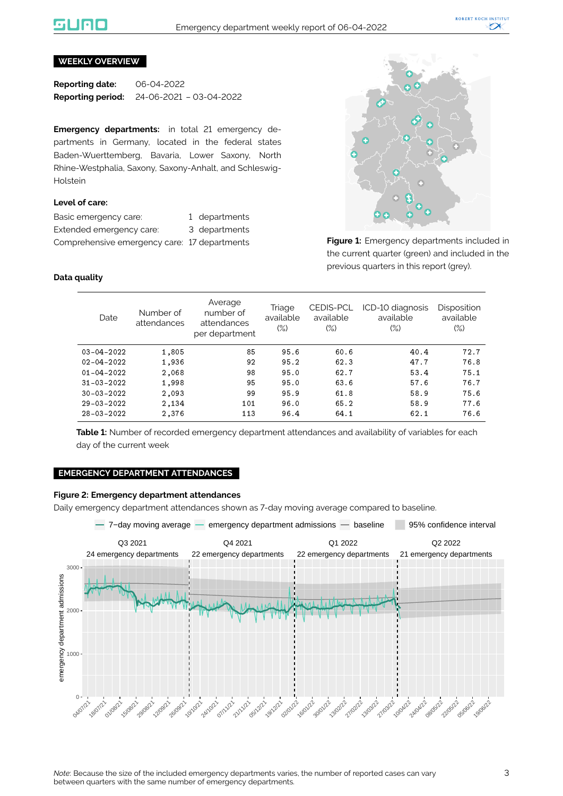### liale

#### **WEEKLY OVERVIEW**

**Reporting date:** 06-04-2022 **Reporting period:** 24-06-2021 – 03-04-2022

**Emergency departments:** in total 21 emergency departments in Germany, located in the federal states Baden-Wuerttemberg, Bavaria, Lower Saxony, North Rhine-Westphalia, Saxony, Saxony-Anhalt, and Schleswig-Holstein

#### **Level of care:**

| Basic emergency care:                        | 1 departments |
|----------------------------------------------|---------------|
| Extended emergency care:                     | 3 departments |
| Comprehensive emergency care: 17 departments |               |



**Figure 1:** Emergency departments included in the current quarter (green) and included in the previous quarters in this report (grey).

#### <span id="page-2-0"></span>**Data quality**

| Date             | Number of<br>attendances | Average<br>number of<br>attendances<br>per department | Triage<br>available<br>$(\%)$ | <b>CEDIS-PCL</b><br>available<br>$(\%)$ | ICD-10 diagnosis<br>available<br>(%) | Disposition<br>available<br>$(\%)$ |
|------------------|--------------------------|-------------------------------------------------------|-------------------------------|-----------------------------------------|--------------------------------------|------------------------------------|
| $03 - 04 - 2022$ | 1,805                    | 85                                                    | 95.6                          | 60.6                                    | 40.4                                 | 72.7                               |
| $02 - 04 - 2022$ | 1,936                    | 92                                                    | 95.2                          | 62.3                                    | 47.7                                 | 76.8                               |
| $01 - 04 - 2022$ | 2,068                    | 98                                                    | 95.0                          | 62.7                                    | 53.4                                 | 75.1                               |
| $31 - 03 - 2022$ | 1,998                    | 95                                                    | 95.0                          | 63.6                                    | 57.6                                 | 76.7                               |
| 30-03-2022       | 2,093                    | 99                                                    | 95.9                          | 61.8                                    | 58.9                                 | 75.6                               |
| 29-03-2022       | 2,134                    | 101                                                   | 96.0                          | 65.2                                    | 58.9                                 | 77.6                               |
| 28-03-2022       | 2,376                    | 113                                                   | 96.4                          | 64.1                                    | 62.1                                 | 76.6                               |

**Table 1:** Number of recorded emergency department attendances and availability of variables for each day of the current week

#### **EMERGENCY DEPARTMENT ATTENDANCES**

#### **Figure 2: Emergency department attendances**

Daily emergency department attendances shown as 7-day moving average compared to baseline.

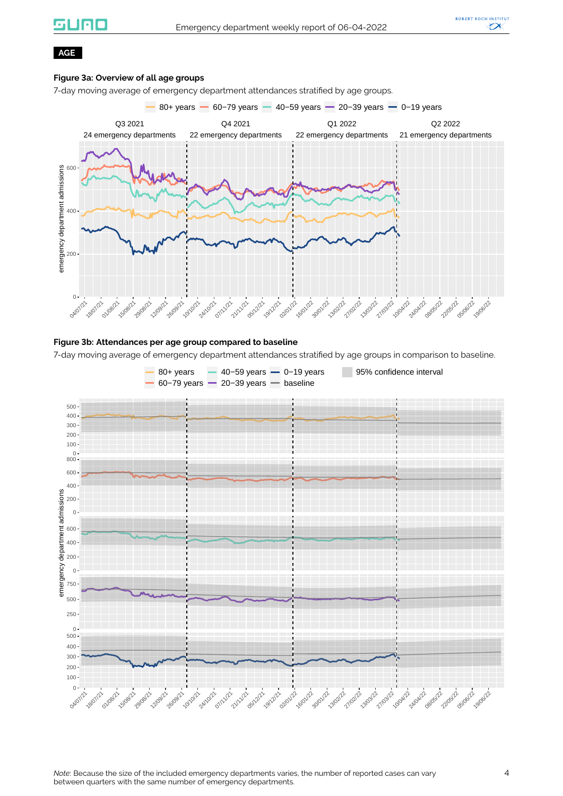## **silieio**



#### **AGE**

#### **Figure 3a: Overview of all age groups**

7-day moving average of emergency department attendances stratified by age groups.



#### **Figure 3b: Attendances per age group compared to baseline**

7-day moving average of emergency department attendances stratified by age groups in comparison to baseline.

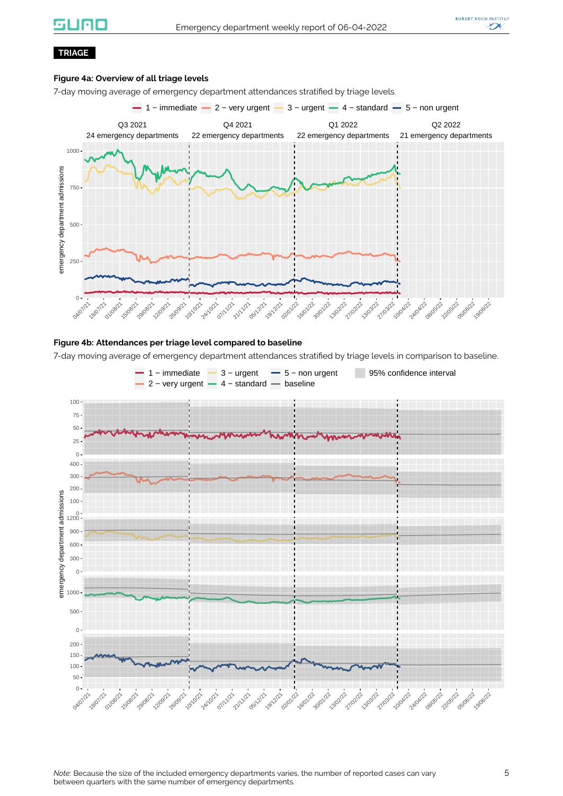### UNC



#### **TRIAGE**

#### **Figure 4a: Overview of all triage levels**

7-day moving average of emergency department attendances stratified by triage levels.



#### **Figure 4b: Attendances per triage level compared to baseline**

7-day moving average of emergency department attendances stratified by triage levels in comparison to baseline.

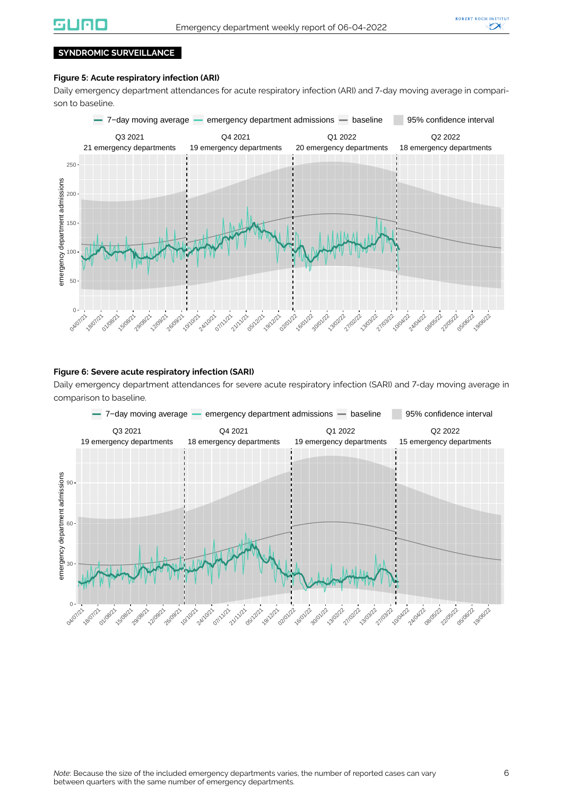

#### **SYNDROMIC SURVEILLANCE**

#### **Figure 5: Acute respiratory infection (ARI)**

Daily emergency department attendances for acute respiratory infection (ARI) and 7-day moving average in comparison to baseline.



#### **Figure 6: Severe acute respiratory infection (SARI)**

Daily emergency department attendances for severe acute respiratory infection (SARI) and 7-day moving average in comparison to baseline.

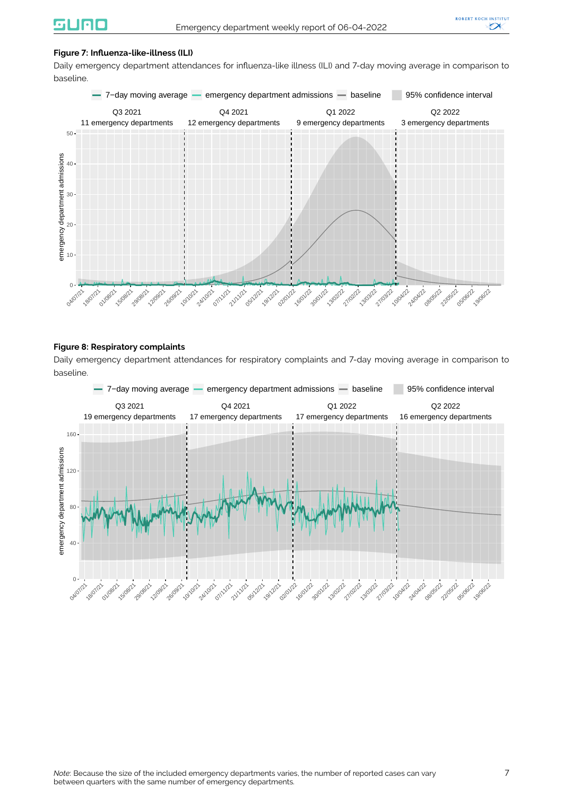#### **Figure 7: Influenza-like-illness (ILI)**

Daily emergency department attendances for influenza-like illness (ILI) and 7-day moving average in comparison to baseline.



#### **Figure 8: Respiratory complaints**

Daily emergency department attendances for respiratory complaints and 7-day moving average in comparison to baseline.